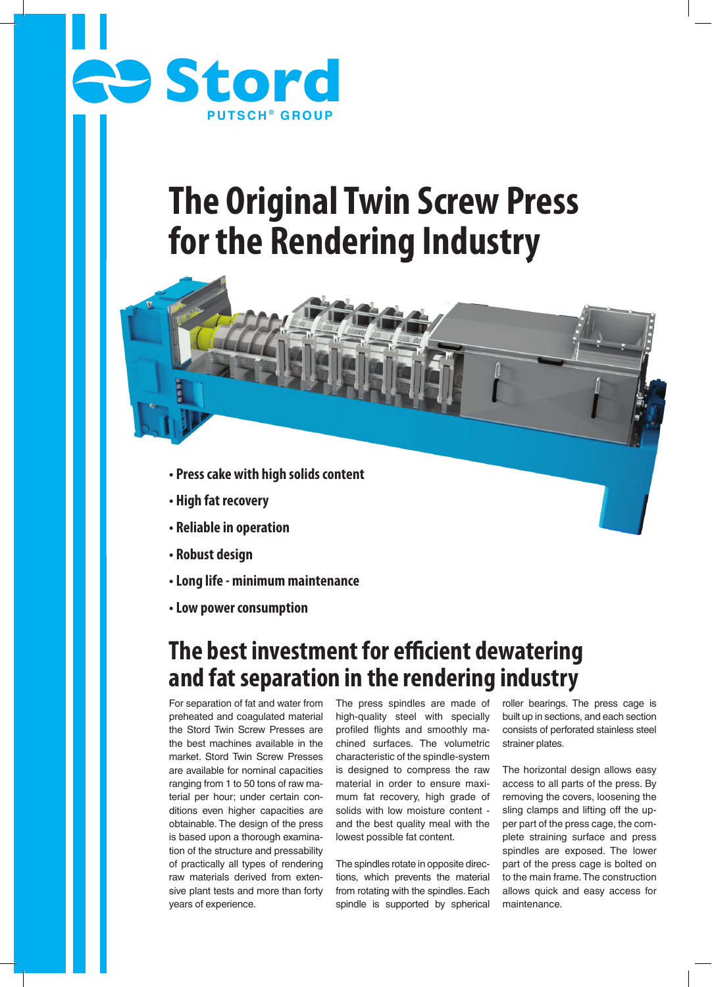

# **The Original Twin Screw Press for the Rendering Industry**

- **Press cake with high solids content**
- **High fat recovery**
- **Reliable in operation**
- **Robust design**
- **Long life minimum maintenance**
- **Low power consumption**

## **The best investment for efficient dewatering and fat separation in the rendering industry**

For separation of fat and water from preheated and coagulated material the Stord Twin Screw Presses are the best machines available in the market. Stord Twin Screw Presses are available for nominal capacities ranging from 1 to 50 tons of raw material per hour; under certain conditions even higher capacities are obtainable. The design of the press is based upon a thorough examination of the structure and pressability of practically all types of rendering raw materials derived from extensive plant tests and more than forty years of experience.

The press spindles are made of high-quality steel with specially profiled flights and smoothly machined surfaces. The volumetric characteristic of the spindle-system is designed to compress the raw material in order to ensure maximum fat recovery, high grade of solids with low moisture content and the best quality meal with the lowest possible fat content.

The spindles rotate in opposite directions, which prevents the material from rotating with the spindles. Each spindle is supported by spherical roller bearings. The press cage is built up in sections, and each section consists of perforated stainless steel strainer plates.

The horizontal design allows easy access to all parts of the press. By removing the covers, loosening the sling clamps and lifting off the upper part of the press cage, the complete straining surface and press spindles are exposed. The lower part of the press cage is bolted on to the main frame. The construction allows quick and easy access for maintenance.